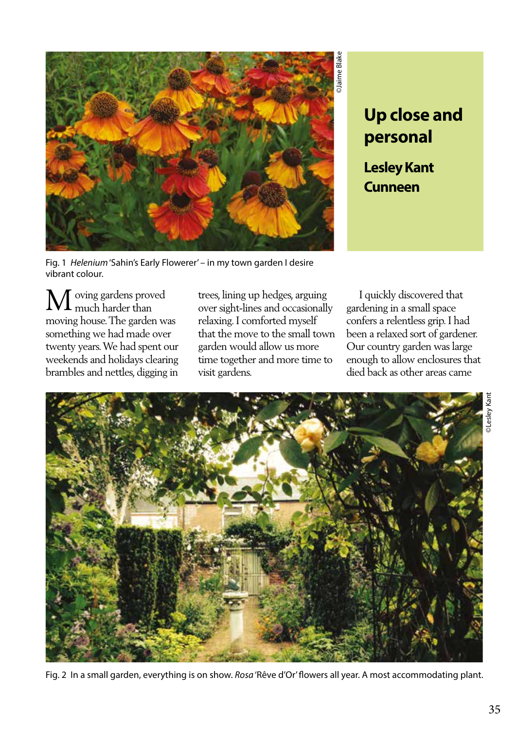

## **Up close and personal**

**Lesley Kant Cunneen**

Fig. 1 *Helenium* 'Sahin's Early Flowerer' – in my town garden I desire vibrant colour.

oving gardens proved much harder than moving house. The garden was something we had made over twenty years. We had spent our weekends and holidays clearing brambles and nettles, digging in M

trees, lining up hedges, arguing over sight-lines and occasionally relaxing. I comforted myself that the move to the small town garden would allow us more time together and more time to visit gardens.

 I quickly discovered that gardening in a small space confers a relentless grip. I had been a relaxed sort of gardener. Our country garden was large enough to allow enclosures that died back as other areas came



Fig. 2 In a small garden, everything is on show. *Rosa* 'Rêve d'Or' flowers all year. A most accommodating plant.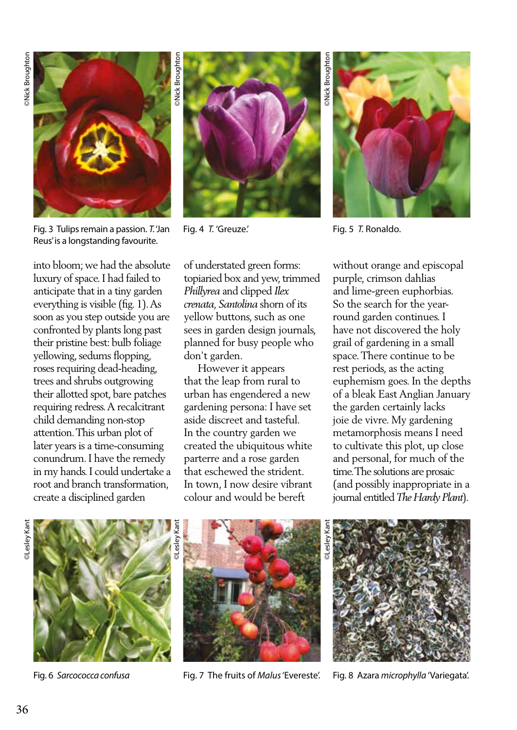

Fig. 3 Tulips remain a passion. *T.* 'Jan Reus' is a longstanding favourite.

into bloom; we had the absolute luxury of space. I had failed to anticipate that in a tiny garden everything is visible (fig. 1). As soon as you step outside you are confronted by plants long past their pristine best: bulb foliage yellowing, sedums flopping, roses requiring dead-heading, trees and shrubs outgrowing their allotted spot, bare patches requiring redress. A recalcitrant child demanding non-stop attention. This urban plot of later years is a time-consuming conundrum. I have the remedy in my hands. I could undertake a root and branch transformation, create a disciplined garden



Fig. 4 *T.* 'Greuze.'

of understated green forms: topiaried box and yew, trimmed *Phillyrea* and clipped *Ilex crenata, Santolina* shorn of its yellow buttons, such as one sees in garden design journals, planned for busy people who don't garden.

 However it appears that the leap from rural to urban has engendered a new gardening persona: I have set aside discreet and tasteful. In the country garden we created the ubiquitous white parterre and a rose garden that eschewed the strident. In town, I now desire vibrant colour and would be bereft

©Nick Broughton ©Lesley Kant Mick Broughtor

Fig. 5 *T.* Ronaldo.

without orange and episcopal purple, crimson dahlias and lime-green euphorbias. So the search for the yearround garden continues. I have not discovered the holy grail of gardening in a small space. There continue to be rest periods, as the acting euphemism goes. In the depths of a bleak East Anglian January the garden certainly lacks joie de vivre. My gardening metamorphosis means I need to cultivate this plot, up close and personal, for much of the time. The solutions are prosaic (and possibly inappropriate in a journal entitled *The Hardy Plant*).

**DLesley Kant** 



Fig. 6 *Sarcococca confusa* 



Fig. 7 The fruits of *Malus* 'Evereste'.



Fig. 8 Azara *microphylla* 'Variegata'.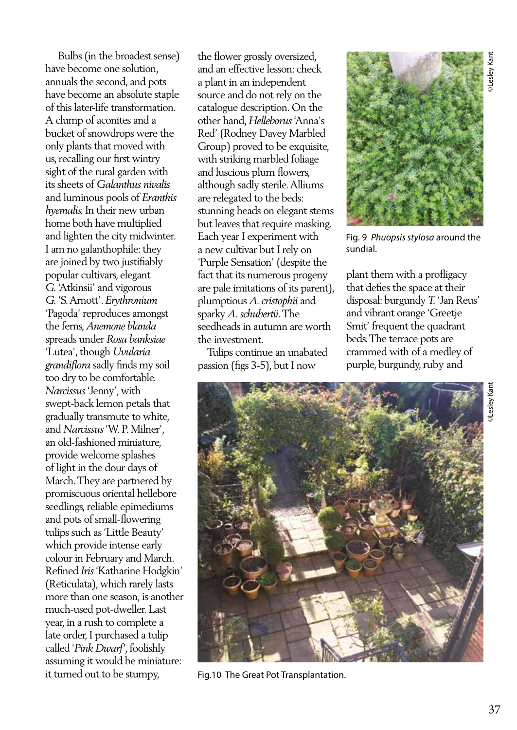Bulbs (in the broadest sense) have become one solution, annuals the second, and pots have become an absolute staple of this later-life transformation. A clump of aconites and a bucket of snowdrops were the only plants that moved with us, recalling our first wintry sight of the rural garden with its sheets of *Galanthus nivalis* and luminous pools of *Eranthis hyemalis.* In their new urban home both have multiplied and lighten the city midwinter. I am no galanthophile: they are joined by two justifiably popular cultivars, elegant *G.* 'Atkinsii' and vigorous *G.* 'S. Arnott'. *Erythronium* 'Pagoda' reproduces amongst the ferns, *Anemone blanda* spreads under *Rosa banksiae* 'Lutea', though *Uvularia grandiflora* sadly finds my soil too dry to be comfortable. *Narcissus* 'Jenny', with swept-back lemon petals that gradually transmute to white, and *Narcissus* 'W. P. Milner', an old-fashioned miniature, provide welcome splashes of light in the dour days of March. They are partnered by promiscuous oriental hellebore seedlings, reliable epimediums and pots of small-flowering tulips such as 'Little Beauty' which provide intense early colour in February and March. Refined *Iris* 'Katharine Hodgkin' (Reticulata), which rarely lasts more than one season, is another much-used pot-dweller. Last year, in a rush to complete a late order, I purchased a tulip called '*Pink Dwarf'*, foolishly assuming it would be miniature: it turned out to be stumpy,

the flower grossly oversized, and an effective lesson: check a plant in an independent source and do not rely on the catalogue description. On the other hand, *Helleborus* 'Anna's Red' (Rodney Davey Marbled Group) proved to be exquisite, with striking marbled foliage and luscious plum flowers, although sadly sterile. Alliums are relegated to the beds: stunning heads on elegant stems but leaves that require masking. Each year I experiment with a new cultivar but I rely on 'Purple Sensation' (despite the fact that its numerous progeny are pale imitations of its parent), plumptious *A. cristophii* and sparky *A. schubertii*. The seedheads in autumn are worth the investment.

 Tulips continue an unabated passion (figs 3-5), but I now



Fig. 9 *Phuopsis stylosa* around the sundial.

plant them with a profligacy that defies the space at their disposal: burgundy *T.* 'Jan Reus' and vibrant orange 'Greetje Smit' frequent the quadrant beds. The terrace pots are crammed with of a medley of purple, burgundy, ruby and





Fig.10 The Great Pot Transplantation.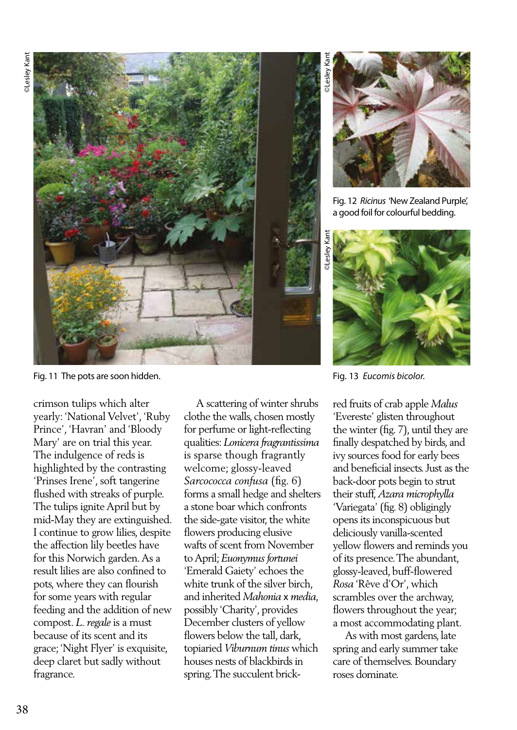

Fig. 11 The pots are soon hidden.

crimson tulips which alter yearly: 'National Velvet', 'Ruby Prince', 'Havran' and 'Bloody Mary' are on trial this year. The indulgence of reds is highlighted by the contrasting 'Prinses Irene', soft tangerine flushed with streaks of purple. The tulips ignite April but by mid-May they are extinguished. I continue to grow lilies, despite the affection lily beetles have for this Norwich garden. As a result lilies are also confined to pots, where they can flourish for some years with regular feeding and the addition of new compost. *L. regale* is a must because of its scent and its grace; 'Night Flyer' is exquisite, deep claret but sadly without fragrance.

 A scattering of winter shrubs clothe the walls, chosen mostly for perfume or light-reflecting qualities: *Lonicera fragrantissima* is sparse though fragrantly welcome; glossy-leaved *Sarcococca confusa* (fig. 6) forms a small hedge and shelters a stone boar which confronts the side-gate visitor, the white flowers producing elusive wafts of scent from November to April; *Euonymus fortunei*  'Emerald Gaiety' echoes the white trunk of the silver birch, and inherited *Mahonia* x *media*, possibly 'Charity', provides December clusters of yellow flowers below the tall, dark, topiaried *Viburnum tinus* which houses nests of blackbirds in spring. The succulent brick-



Fig. 12 *Ricinus* 'New Zealand Purple', a good foil for colourful bedding.



Fig. 13 *Eucomis bicolor.*

red fruits of crab apple *Malus*  'Evereste' glisten throughout the winter (fig. 7), until they are finally despatched by birds, and ivy sources food for early bees and beneficial insects. Just as the back-door pots begin to strut their stuff, *Azara microphylla*  'Variegata' (fig. 8) obligingly opens its inconspicuous but deliciously vanilla-scented yellow flowers and reminds you of its presence. The abundant, glossy-leaved, buff-flowered *Rosa* 'Rêve d'Or', which scrambles over the archway, flowers throughout the year; a most accommodating plant.

 As with most gardens, late spring and early summer take care of themselves. Boundary roses dominate.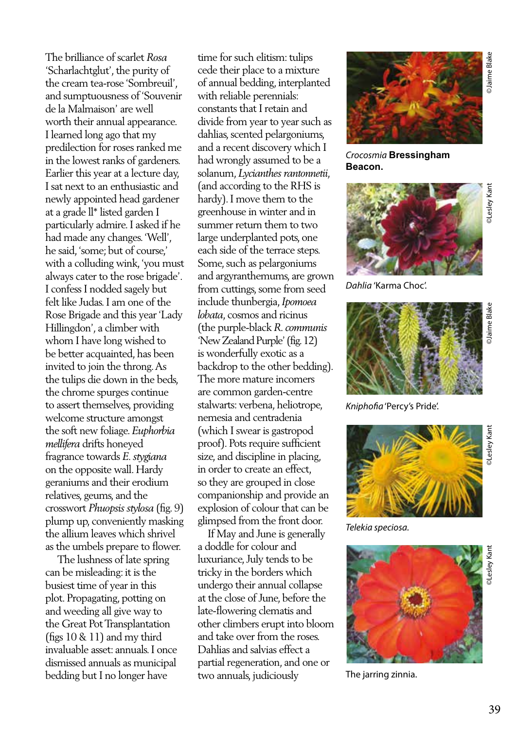The brilliance of scarlet *Rosa* 'Scharlachtglut', the purity of the cream tea-rose 'Sombreuil', and sumptuousness of 'Souvenir de la Malmaison' are well worth their annual appearance. I learned long ago that my predilection for roses ranked me in the lowest ranks of gardeners. Earlier this year at a lecture day, I sat next to an enthusiastic and newly appointed head gardener at a grade ll\* listed garden I particularly admire. I asked if he had made any changes. 'Well', he said, 'some; but of course,' with a colluding wink, 'you must always cater to the rose brigade'. I confess I nodded sagely but felt like Judas. I am one of the Rose Brigade and this year 'Lady Hillingdon', a climber with whom I have long wished to be better acquainted, has been invited to join the throng. As the tulips die down in the beds, the chrome spurges continue to assert themselves, providing welcome structure amongst the soft new foliage. *Euphorbia mellifera* drifts honeyed fragrance towards *E. stygiana* on the opposite wall. Hardy geraniums and their erodium relatives, geums, and the crosswort *Phuopsis stylosa* (fig. 9) plump up, conveniently masking the allium leaves which shrivel as the umbels prepare to flower.

 The lushness of late spring can be misleading: it is the busiest time of year in this plot. Propagating, potting on and weeding all give way to the Great Pot Transplantation (figs 10 & 11) and my third invaluable asset: annuals. I once dismissed annuals as municipal bedding but I no longer have

time for such elitism: tulips cede their place to a mixture of annual bedding, interplanted with reliable perennials: constants that I retain and divide from year to year such as dahlias, scented pelargoniums, and a recent discovery which I had wrongly assumed to be a solanum, *Lycianthes rantonnetii*, (and according to the RHS is hardy). I move them to the greenhouse in winter and in summer return them to two large underplanted pots, one each side of the terrace steps. Some, such as pelargoniums and argyranthemums, are grown from cuttings, some from seed include thunbergia, *Ipomoea lobata*, cosmos and ricinus (the purple-black *R. communis* 'New Zealand Purple' (fig. 12) is wonderfully exotic as a backdrop to the other bedding). The more mature incomers are common garden-centre stalwarts: verbena, heliotrope, nemesia and centradenia (which I swear is gastropod proof). Pots require sufficient size, and discipline in placing, in order to create an effect, so they are grouped in close companionship and provide an explosion of colour that can be glimpsed from the front door.

 If May and June is generally a doddle for colour and luxuriance, July tends to be tricky in the borders which undergo their annual collapse at the close of June, before the late-flowering clematis and other climbers erupt into bloom and take over from the roses. Dahlias and salvias effect a partial regeneration, and one or two annuals, judiciously



*Crocosmia* **Bressingham Beacon.** 

**DLesley Kant** 

*Dahlia* 'Karma Choc'.



*Kniphofia* 'Percy's Pride'.



*Telekia speciosa.*



The jarring zinnia.